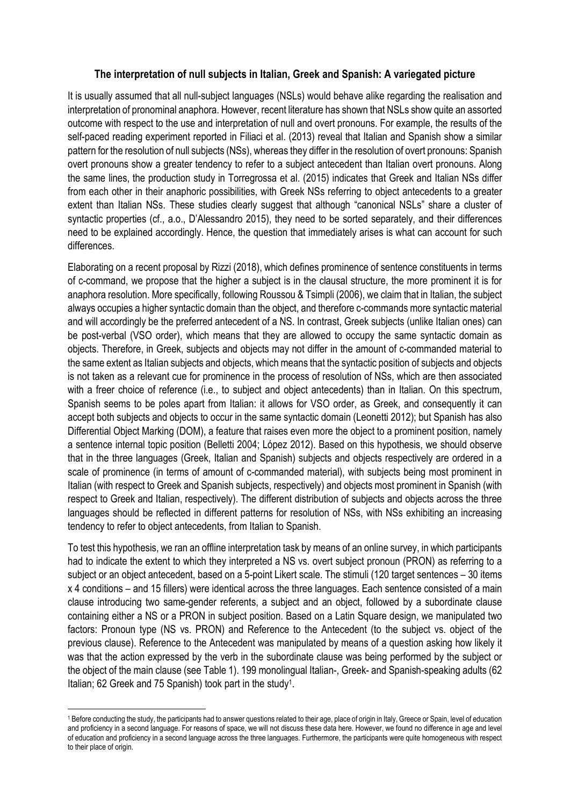## The interpretation of null subjects in Italian, Greek and Spanish: A variegated picture

It is usually assumed that all null-subject languages (NSLs) would behave alike regarding the realisation and interpretation of pronominal anaphora. However, recent literature has shown that NSLs show quite an assorted outcome with respect to the use and interpretation of null and overt pronouns. For example, the results of the self-paced reading experiment reported in Filiaci et al. (2013) reveal that Italian and Spanish show a similar pattern for the resolution of null subjects (NSs), whereas they differ in the resolution of overt pronouns: Spanish overt pronouns show a greater tendency to refer to a subject antecedent than Italian overt pronouns. Along the same lines, the production study in Torregrossa et al. (2015) indicates that Greek and Italian NSs differ from each other in their anaphoric possibilities, with Greek NSs referring to object antecedents to a greater extent than Italian NSs. These studies clearly suggest that although "canonical NSLs" share a cluster of syntactic properties (cf., a.o., D'Alessandro 2015), they need to be sorted separately, and their differences need to be explained accordingly. Hence, the question that immediately arises is what can account for such differences.

Elaborating on a recent proposal by Rizzi (2018), which defines prominence of sentence constituents in terms of c-command, we propose that the higher a subject is in the clausal structure, the more prominent it is for anaphora resolution. More specifically, following Roussou & Tsimpli (2006), we claim that in Italian, the subject always occupies a higher syntactic domain than the object, and therefore c-commands more syntactic material and will accordingly be the preferred antecedent of a NS. In contrast, Greek subjects (unlike Italian ones) can be post-verbal (VSO order), which means that they are allowed to occupy the same syntactic domain as objects. Therefore, in Greek, subjects and objects may not differ in the amount of c-commanded material to the same extent as Italian subjects and objects, which means that the syntactic position of subjects and objects is not taken as a relevant cue for prominence in the process of resolution of NSs, which are then associated with a freer choice of reference (i.e., to subject and object antecedents) than in Italian. On this spectrum, Spanish seems to be poles apart from Italian: it allows for VSO order, as Greek, and consequently it can accept both subjects and objects to occur in the same syntactic domain (Leonetti 2012); but Spanish has also Differential Object Marking (DOM), a feature that raises even more the object to a prominent position, namely a sentence internal topic position (Belletti 2004; López 2012). Based on this hypothesis, we should observe that in the three languages (Greek, Italian and Spanish) subjects and objects respectively are ordered in a scale of prominence (in terms of amount of c-commanded material), with subjects being most prominent in Italian (with respect to Greek and Spanish subjects, respectively) and objects most prominent in Spanish (with respect to Greek and Italian, respectively). The different distribution of subjects and objects across the three languages should be reflected in different patterns for resolution of NSs, with NSs exhibiting an increasing tendency to refer to object antecedents, from Italian to Spanish.

To test this hypothesis, we ran an offline interpretation task by means of an online survey, in which participants had to indicate the extent to which they interpreted a NS vs. overt subject pronoun (PRON) as referring to a subject or an object antecedent, based on a 5-point Likert scale. The stimuli (120 target sentences – 30 items x 4 conditions – and 15 fillers) were identical across the three languages. Each sentence consisted of a main clause introducing two same-gender referents, a subject and an object, followed by a subordinate clause containing either a NS or a PRON in subject position. Based on a Latin Square design, we manipulated two factors: Pronoun type (NS vs. PRON) and Reference to the Antecedent (to the subject vs. object of the previous clause). Reference to the Antecedent was manipulated by means of a question asking how likely it was that the action expressed by the verb in the subordinate clause was being performed by the subject or the object of the main clause (see Table 1). 199 monolingual Italian-, Greek- and Spanish-speaking adults (62 Italian; 62 Greek and 75 Spanish) took part in the study<sup>1</sup>.

 $\overline{a}$ 

<sup>1</sup> Before conducting the study, the participants had to answer questions related to their age, place of origin in Italy, Greece or Spain, level of education and proficiency in a second language. For reasons of space, we will not discuss these data here. However, we found no difference in age and level of education and proficiency in a second language across the three languages. Furthermore, the participants were quite homogeneous with respect to their place of origin.